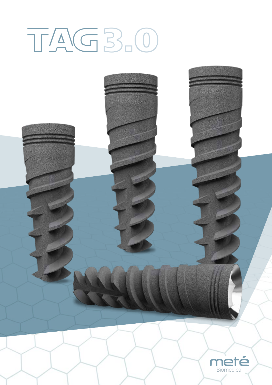## TAG 3.0

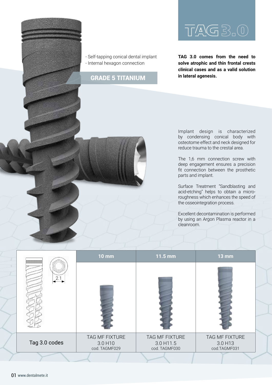

- Self-tapping conical dental implant - Internal hexagon connection

## **in lateral agenesis.** GRADE 5 TITANIUM

## TAG 3.0

**TAG 3.0 comes from the need to solve atrophic and thin frontal crests clinical cases and as a valid solution** 

Implant design is characterized by condensing conical body with osteotome effect and neck designed for reduce trauma to the crestal area.

The 1,6 mm connection screw with deep engagement ensures a precision fit connection between the prosthetic parts and implant.

Surface Treatment "Sandblasting and acid-etching" helps to obtain a microroughness which enhances the speed of the osseointegration process.

Excellent decontamination is performed by using an Argon Plasma reactor in a cleanroom.

|               | <b>10 mm</b>                                           | 11.5 mm                                      | $13 \text{ mm}$                           |  |
|---------------|--------------------------------------------------------|----------------------------------------------|-------------------------------------------|--|
| 2.1           |                                                        |                                              |                                           |  |
| Tag 3.0 codes | TAG MF FIXTURE<br>3.0 H <sub>10</sub><br>cod. TAGMF029 | TAG MF FIXTURE<br>3.0 H11.5<br>cod. TAGMF030 | TAG MF FIXTURE<br>3.0 H13<br>cod.TAGMF031 |  |
|               |                                                        |                                              |                                           |  |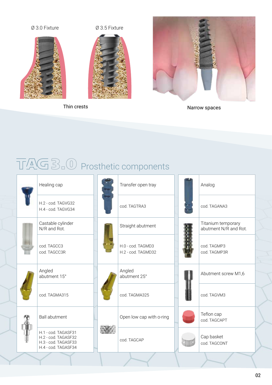

Thin crests

Narrow spaces

## TAG 3.0 Prosthetic components

|  | Healing cap                                                                              |  | Transfer open tray                      |  | Analog                                      |  |  |
|--|------------------------------------------------------------------------------------------|--|-----------------------------------------|--|---------------------------------------------|--|--|
|  | H.2 - cod. TAGVG32<br>H.4 - cod. TAGVG34                                                 |  | cod. TAGTRA3                            |  | cod. TAGANA3                                |  |  |
|  | Castable cylinder<br>N/R and Rot.                                                        |  | Straight abutment                       |  | Titanium temporary<br>abutment N/R and Rot. |  |  |
|  | cod. TAGCC3<br>cod. TAGCC3R                                                              |  | H.0 - cod. TAGMD3<br>H.2 - cod. TAGMD32 |  | cod. TAGMP3<br>cod. TAGMP3R                 |  |  |
|  | Angled<br>abutment 15°                                                                   |  | Angled<br>abutment 25°                  |  | Abutment screw M1,6                         |  |  |
|  | cod. TAGMA315                                                                            |  | cod. TAGMA325                           |  | cod. TAGVM3                                 |  |  |
|  | <b>Ball abutment</b>                                                                     |  | Open low cap with o-ring                |  | Teflon cap<br>cod. TAGCAPT                  |  |  |
|  | H.1 - cod. TAGASF31<br>H.2 - cod. TAGASF32<br>H.3 - cod. TAGASF33<br>H.4 - cod. TAGASF34 |  | cod. TAGCAP                             |  | Cap basket<br>cod. TAGCONT                  |  |  |
|  |                                                                                          |  |                                         |  |                                             |  |  |